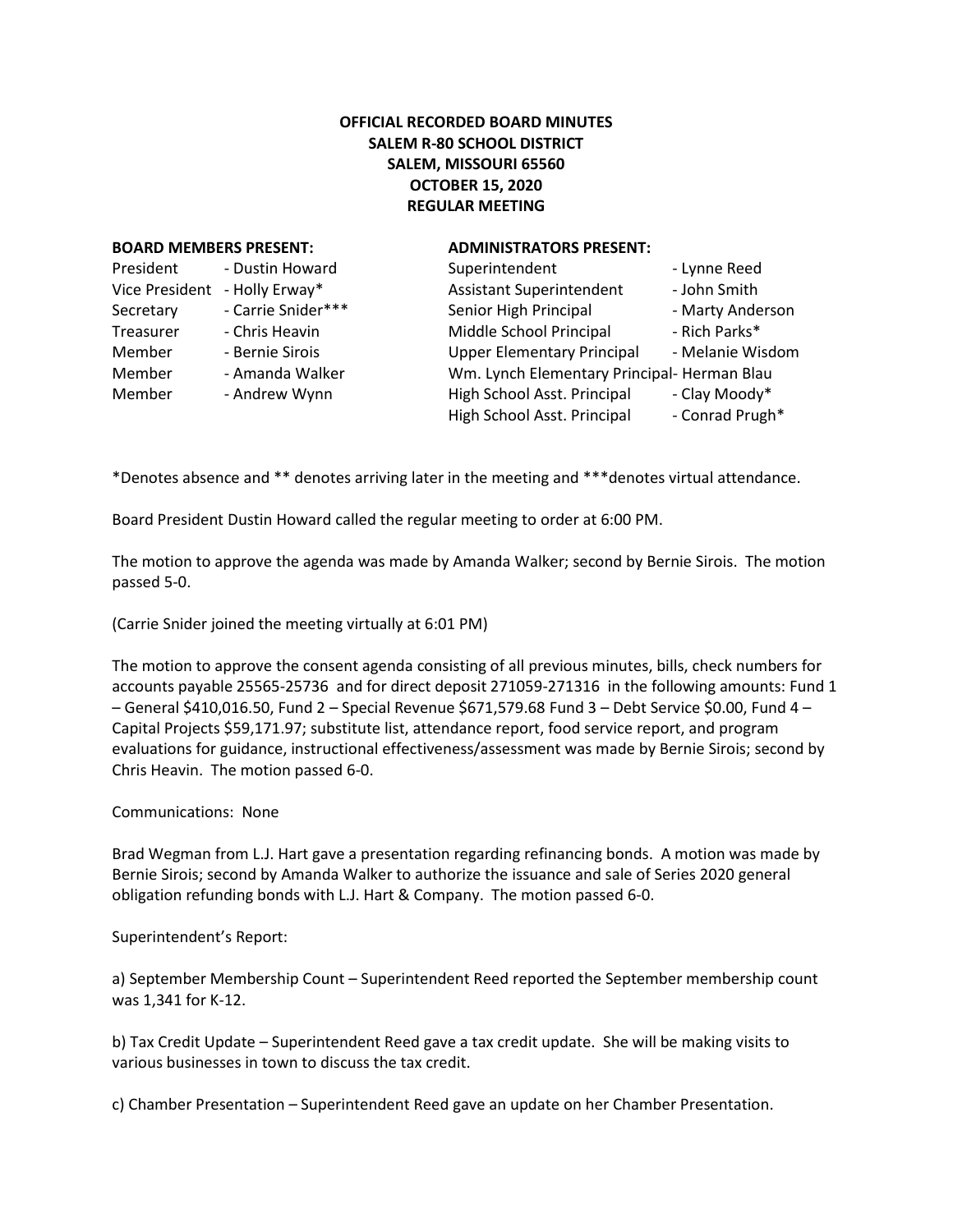## **OFFICIAL RECORDED BOARD MINUTES SALEM R-80 SCHOOL DISTRICT SALEM, MISSOURI 65560 OCTOBER 15, 2020 REGULAR MEETING**

## **BOARD MEMBERS PRESENT: ADMINISTRATORS PRESENT:**

| President             | - Dustin Howard    |
|-----------------------|--------------------|
| <b>Vice President</b> | - Holly Erway*     |
| Secretary             | - Carrie Snider*** |
| Treasurer             | - Chris Heavin     |
| Member                | - Bernie Sirois    |
| Member                | - Amanda Walker    |
| Member                | - Andrew Wynn      |
|                       |                    |

| President      | - Dustin Howard    | Superintendent                              | - Lynne Reed     |
|----------------|--------------------|---------------------------------------------|------------------|
| Vice President | - Holly Erway*     | <b>Assistant Superintendent</b>             | - John Smith     |
| Secretary      | - Carrie Snider*** | Senior High Principal                       | - Marty Anderson |
| Treasurer      | - Chris Heavin     | Middle School Principal                     | - Rich Parks*    |
| Member         | - Bernie Sirois    | <b>Upper Elementary Principal</b>           | - Melanie Wisdom |
| Member         | - Amanda Walker    | Wm. Lynch Elementary Principal- Herman Blau |                  |
| Member         | - Andrew Wynn      | High School Asst. Principal                 | - Clay Moody*    |
|                |                    | High School Asst. Principal                 | - Conrad Prugh*  |
|                |                    |                                             |                  |

\*Denotes absence and \*\* denotes arriving later in the meeting and \*\*\*denotes virtual attendance.

Board President Dustin Howard called the regular meeting to order at 6:00 PM.

The motion to approve the agenda was made by Amanda Walker; second by Bernie Sirois. The motion passed 5-0.

(Carrie Snider joined the meeting virtually at 6:01 PM)

The motion to approve the consent agenda consisting of all previous minutes, bills, check numbers for accounts payable 25565-25736 and for direct deposit 271059-271316 in the following amounts: Fund 1 – General \$410,016.50, Fund 2 – Special Revenue \$671,579.68 Fund 3 – Debt Service \$0.00, Fund 4 – Capital Projects \$59,171.97; substitute list, attendance report, food service report, and program evaluations for guidance, instructional effectiveness/assessment was made by Bernie Sirois; second by Chris Heavin. The motion passed 6-0.

## Communications: None

Brad Wegman from L.J. Hart gave a presentation regarding refinancing bonds. A motion was made by Bernie Sirois; second by Amanda Walker to authorize the issuance and sale of Series 2020 general obligation refunding bonds with L.J. Hart & Company. The motion passed 6-0.

## Superintendent's Report:

a) September Membership Count – Superintendent Reed reported the September membership count was 1,341 for K-12.

b) Tax Credit Update – Superintendent Reed gave a tax credit update. She will be making visits to various businesses in town to discuss the tax credit.

c) Chamber Presentation – Superintendent Reed gave an update on her Chamber Presentation.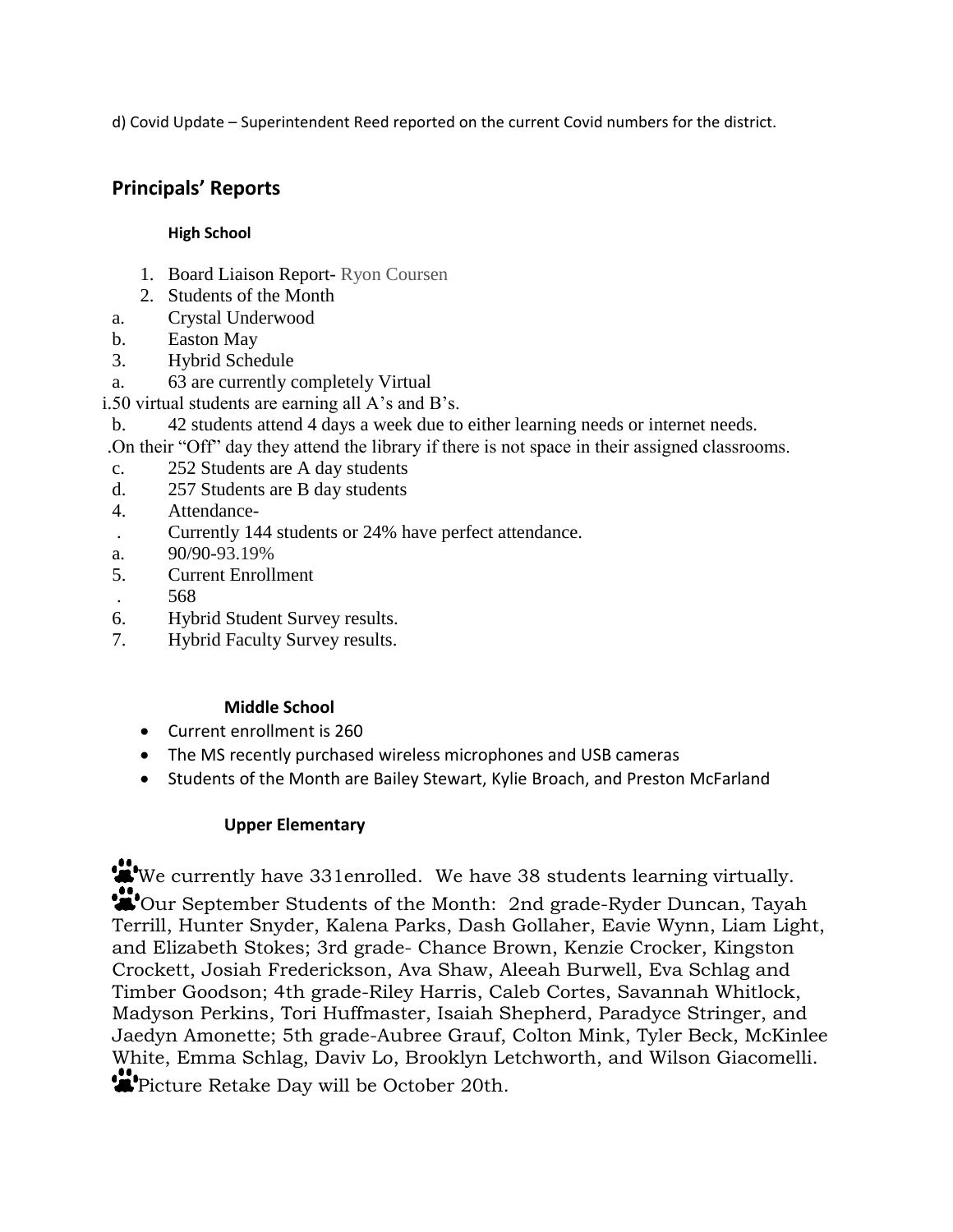d) Covid Update – Superintendent Reed reported on the current Covid numbers for the district.

# **Principals' Reports**

# **High School**

- 1. Board Liaison Report- Ryon Coursen
- 2. Students of the Month
- a. Crystal Underwood
- b. Easton May
- 3. Hybrid Schedule
- a. 63 are currently completely Virtual
- i.50 virtual students are earning all A's and B's.
- b. 42 students attend 4 days a week due to either learning needs or internet needs.
- .On their "Off" day they attend the library if there is not space in their assigned classrooms.
- c. 252 Students are A day students
- d. 257 Students are B day students
- 4. Attendance-
- . Currently 144 students or 24% have perfect attendance.
- a. 90/90-93.19%
- 5. Current Enrollment
- . 568
- 6. Hybrid Student Survey results.
- 7. Hybrid Faculty Survey results.

# **Middle School**

- Current enrollment is 260
- The MS recently purchased wireless microphones and USB cameras
- Students of the Month are Bailey Stewart, Kylie Broach, and Preston McFarland

# **Upper Elementary**

We currently have 331enrolled. We have 38 students learning virtually. Our September Students of the Month: 2nd grade-Ryder Duncan, Tayah Terrill, Hunter Snyder, Kalena Parks, Dash Gollaher, Eavie Wynn, Liam Light, and Elizabeth Stokes; 3rd grade- Chance Brown, Kenzie Crocker, Kingston Crockett, Josiah Frederickson, Ava Shaw, Aleeah Burwell, Eva Schlag and Timber Goodson; 4th grade-Riley Harris, Caleb Cortes, Savannah Whitlock, Madyson Perkins, Tori Huffmaster, Isaiah Shepherd, Paradyce Stringer, and Jaedyn Amonette; 5th grade-Aubree Grauf, Colton Mink, Tyler Beck, McKinlee White, Emma Schlag, Daviv Lo, Brooklyn Letchworth, and Wilson Giacomelli. Picture Retake Day will be October 20th.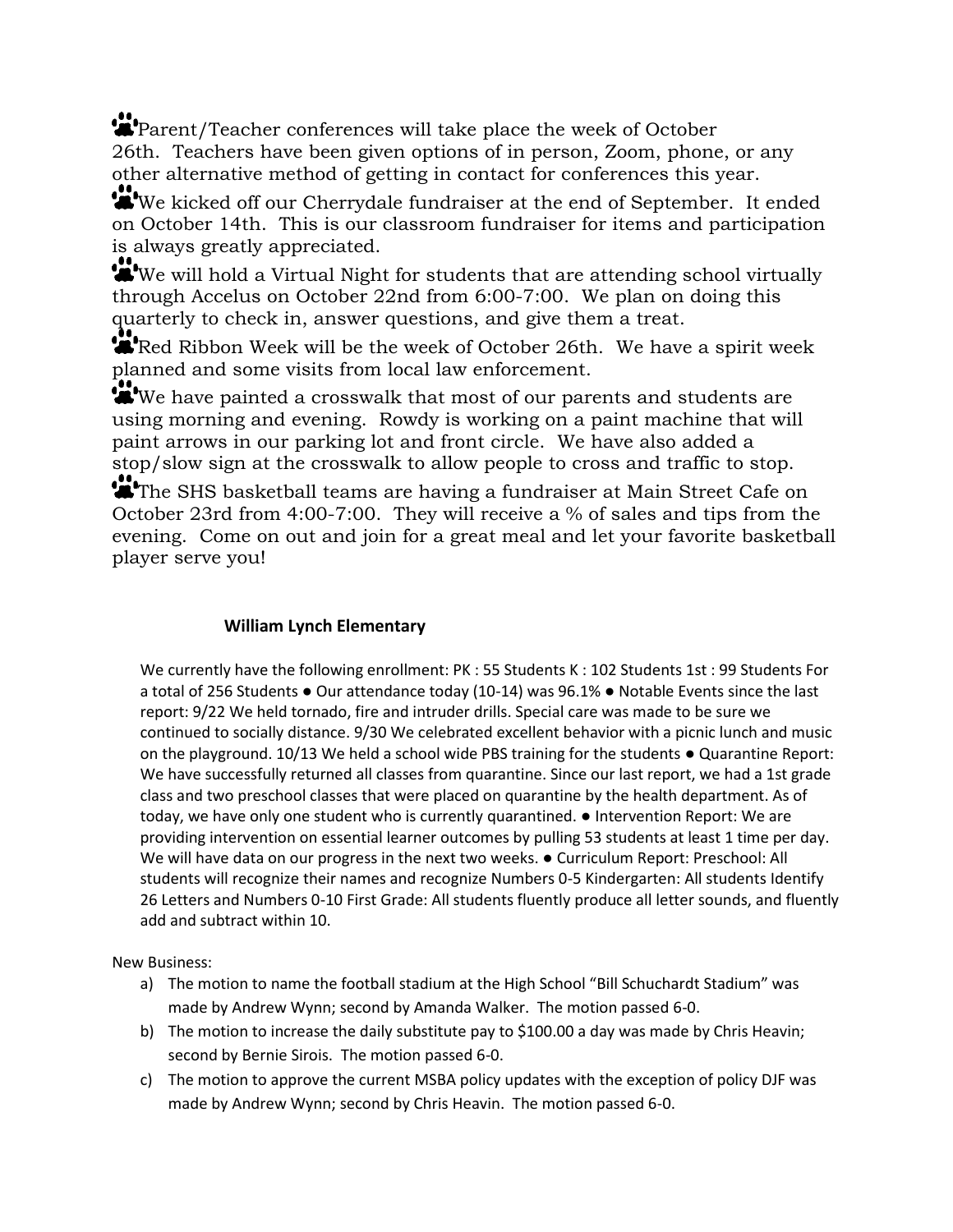Parent/Teacher conferences will take place the week of October 26th. Teachers have been given options of in person, Zoom, phone, or any other alternative method of getting in contact for conferences this year.

We kicked off our Cherrydale fundraiser at the end of September. It ended on October 14th. This is our classroom fundraiser for items and participation is always greatly appreciated.

We will hold a Virtual Night for students that are attending school virtually through Accelus on October 22nd from 6:00-7:00. We plan on doing this quarterly to check in, answer questions, and give them a treat.

Red Ribbon Week will be the week of October 26th. We have a spirit week planned and some visits from local law enforcement.

We have painted a crosswalk that most of our parents and students are using morning and evening. Rowdy is working on a paint machine that will paint arrows in our parking lot and front circle. We have also added a stop/slow sign at the crosswalk to allow people to cross and traffic to stop.

The SHS basketball teams are having a fundraiser at Main Street Cafe on October 23rd from 4:00-7:00. They will receive a % of sales and tips from the evening. Come on out and join for a great meal and let your favorite basketball player serve you!

# **William Lynch Elementary**

We currently have the following enrollment: PK : 55 Students K : 102 Students 1st : 99 Students For a total of 256 Students ● Our attendance today (10-14) was 96.1% ● Notable Events since the last report: 9/22 We held tornado, fire and intruder drills. Special care was made to be sure we continued to socially distance. 9/30 We celebrated excellent behavior with a picnic lunch and music on the playground. 10/13 We held a school wide PBS training for the students ● Quarantine Report: We have successfully returned all classes from quarantine. Since our last report, we had a 1st grade class and two preschool classes that were placed on quarantine by the health department. As of today, we have only one student who is currently quarantined. ● Intervention Report: We are providing intervention on essential learner outcomes by pulling 53 students at least 1 time per day. We will have data on our progress in the next two weeks.  $\bullet$  Curriculum Report: Preschool: All students will recognize their names and recognize Numbers 0-5 Kindergarten: All students Identify 26 Letters and Numbers 0-10 First Grade: All students fluently produce all letter sounds, and fluently add and subtract within 10.

New Business:

- a) The motion to name the football stadium at the High School "Bill Schuchardt Stadium" was made by Andrew Wynn; second by Amanda Walker. The motion passed 6-0.
- b) The motion to increase the daily substitute pay to \$100.00 a day was made by Chris Heavin; second by Bernie Sirois. The motion passed 6-0.
- c) The motion to approve the current MSBA policy updates with the exception of policy DJF was made by Andrew Wynn; second by Chris Heavin. The motion passed 6-0.